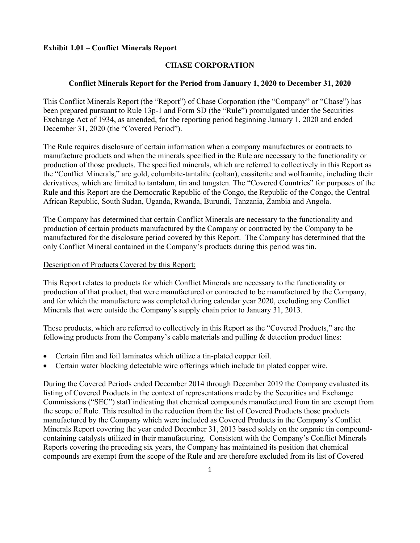# **Exhibit 1.01 – Conflict Minerals Report**

# **CHASE CORPORATION**

## **Conflict Minerals Report for the Period from January 1, 2020 to December 31, 2020**

This Conflict Minerals Report (the "Report") of Chase Corporation (the "Company" or "Chase") has been prepared pursuant to Rule 13p-1 and Form SD (the "Rule") promulgated under the Securities Exchange Act of 1934, as amended, for the reporting period beginning January 1, 2020 and ended December 31, 2020 (the "Covered Period").

The Rule requires disclosure of certain information when a company manufactures or contracts to manufacture products and when the minerals specified in the Rule are necessary to the functionality or production of those products. The specified minerals, which are referred to collectively in this Report as the "Conflict Minerals," are gold, columbite-tantalite (coltan), cassiterite and wolframite, including their derivatives, which are limited to tantalum, tin and tungsten. The "Covered Countries" for purposes of the Rule and this Report are the Democratic Republic of the Congo, the Republic of the Congo, the Central African Republic, South Sudan, Uganda, Rwanda, Burundi, Tanzania, Zambia and Angola.

The Company has determined that certain Conflict Minerals are necessary to the functionality and production of certain products manufactured by the Company or contracted by the Company to be manufactured for the disclosure period covered by this Report. The Company has determined that the only Conflict Mineral contained in the Company's products during this period was tin.

### Description of Products Covered by this Report:

This Report relates to products for which Conflict Minerals are necessary to the functionality or production of that product, that were manufactured or contracted to be manufactured by the Company, and for which the manufacture was completed during calendar year 2020, excluding any Conflict Minerals that were outside the Company's supply chain prior to January 31, 2013.

These products, which are referred to collectively in this Report as the "Covered Products," are the following products from the Company's cable materials and pulling  $\&$  detection product lines:

- Certain film and foil laminates which utilize a tin-plated copper foil.
- Certain water blocking detectable wire offerings which include tin plated copper wire.

During the Covered Periods ended December 2014 through December 2019 the Company evaluated its listing of Covered Products in the context of representations made by the Securities and Exchange Commissions ("SEC") staff indicating that chemical compounds manufactured from tin are exempt from the scope of Rule. This resulted in the reduction from the list of Covered Products those products manufactured by the Company which were included as Covered Products in the Company's Conflict Minerals Report covering the year ended December 31, 2013 based solely on the organic tin compoundcontaining catalysts utilized in their manufacturing. Consistent with the Company's Conflict Minerals Reports covering the preceding six years, the Company has maintained its position that chemical compounds are exempt from the scope of the Rule and are therefore excluded from its list of Covered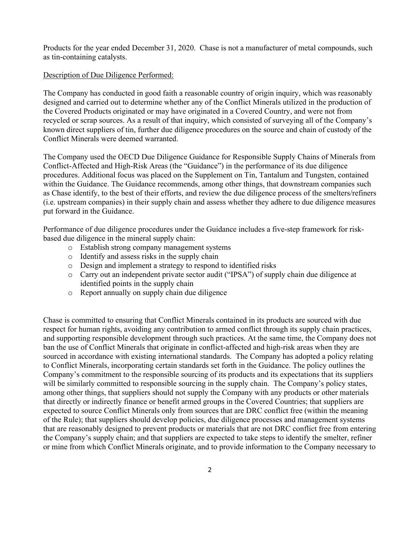Products for the year ended December 31, 2020. Chase is not a manufacturer of metal compounds, such as tin-containing catalysts.

# Description of Due Diligence Performed:

The Company has conducted in good faith a reasonable country of origin inquiry, which was reasonably designed and carried out to determine whether any of the Conflict Minerals utilized in the production of the Covered Products originated or may have originated in a Covered Country, and were not from recycled or scrap sources. As a result of that inquiry, which consisted of surveying all of the Company's known direct suppliers of tin, further due diligence procedures on the source and chain of custody of the Conflict Minerals were deemed warranted.

The Company used the OECD Due Diligence Guidance for Responsible Supply Chains of Minerals from Conflict-Affected and High-Risk Areas (the "Guidance") in the performance of its due diligence procedures. Additional focus was placed on the Supplement on Tin, Tantalum and Tungsten, contained within the Guidance. The Guidance recommends, among other things, that downstream companies such as Chase identify, to the best of their efforts, and review the due diligence process of the smelters/refiners (i.e. upstream companies) in their supply chain and assess whether they adhere to due diligence measures put forward in the Guidance.

Performance of due diligence procedures under the Guidance includes a five-step framework for riskbased due diligence in the mineral supply chain:

- o Establish strong company management systems
- o Identify and assess risks in the supply chain
- o Design and implement a strategy to respond to identified risks
- o Carry out an independent private sector audit ("IPSA") of supply chain due diligence at identified points in the supply chain
- o Report annually on supply chain due diligence

Chase is committed to ensuring that Conflict Minerals contained in its products are sourced with due respect for human rights, avoiding any contribution to armed conflict through its supply chain practices, and supporting responsible development through such practices. At the same time, the Company does not ban the use of Conflict Minerals that originate in conflict-affected and high-risk areas when they are sourced in accordance with existing international standards. The Company has adopted a policy relating to Conflict Minerals, incorporating certain standards set forth in the Guidance. The policy outlines the Company's commitment to the responsible sourcing of its products and its expectations that its suppliers will be similarly committed to responsible sourcing in the supply chain. The Company's policy states, among other things, that suppliers should not supply the Company with any products or other materials that directly or indirectly finance or benefit armed groups in the Covered Countries; that suppliers are expected to source Conflict Minerals only from sources that are DRC conflict free (within the meaning of the Rule); that suppliers should develop policies, due diligence processes and management systems that are reasonably designed to prevent products or materials that are not DRC conflict free from entering the Company's supply chain; and that suppliers are expected to take steps to identify the smelter, refiner or mine from which Conflict Minerals originate, and to provide information to the Company necessary to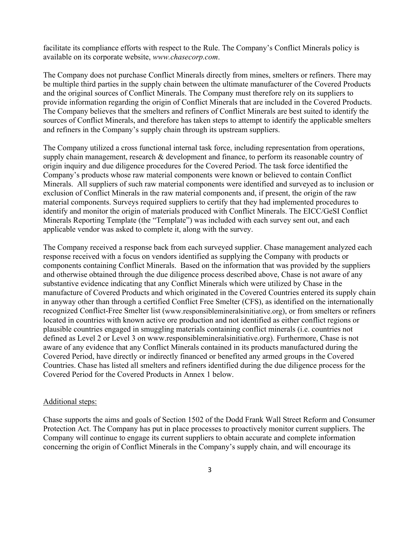facilitate its compliance efforts with respect to the Rule. The Company's Conflict Minerals policy is available on its corporate website, *www.chasecorp.com*.

The Company does not purchase Conflict Minerals directly from mines, smelters or refiners. There may be multiple third parties in the supply chain between the ultimate manufacturer of the Covered Products and the original sources of Conflict Minerals. The Company must therefore rely on its suppliers to provide information regarding the origin of Conflict Minerals that are included in the Covered Products. The Company believes that the smelters and refiners of Conflict Minerals are best suited to identify the sources of Conflict Minerals, and therefore has taken steps to attempt to identify the applicable smelters and refiners in the Company's supply chain through its upstream suppliers.

The Company utilized a cross functional internal task force, including representation from operations, supply chain management, research & development and finance, to perform its reasonable country of origin inquiry and due diligence procedures for the Covered Period. The task force identified the Company's products whose raw material components were known or believed to contain Conflict Minerals. All suppliers of such raw material components were identified and surveyed as to inclusion or exclusion of Conflict Minerals in the raw material components and, if present, the origin of the raw material components. Surveys required suppliers to certify that they had implemented procedures to identify and monitor the origin of materials produced with Conflict Minerals. The EICC/GeSI Conflict Minerals Reporting Template (the "Template") was included with each survey sent out, and each applicable vendor was asked to complete it, along with the survey.

The Company received a response back from each surveyed supplier. Chase management analyzed each response received with a focus on vendors identified as supplying the Company with products or components containing Conflict Minerals. Based on the information that was provided by the suppliers and otherwise obtained through the due diligence process described above, Chase is not aware of any substantive evidence indicating that any Conflict Minerals which were utilized by Chase in the manufacture of Covered Products and which originated in the Covered Countries entered its supply chain in anyway other than through a certified Conflict Free Smelter (CFS), as identified on the internationally recognized Conflict-Free Smelter list (www.responsiblemineralsinitiative.org), or from smelters or refiners located in countries with known active ore production and not identified as either conflict regions or plausible countries engaged in smuggling materials containing conflict minerals (i.e. countries not defined as Level 2 or Level 3 on www.responsiblemineralsinitiative.org). Furthermore, Chase is not aware of any evidence that any Conflict Minerals contained in its products manufactured during the Covered Period, have directly or indirectly financed or benefited any armed groups in the Covered Countries. Chase has listed all smelters and refiners identified during the due diligence process for the Covered Period for the Covered Products in Annex 1 below.

### Additional steps:

Chase supports the aims and goals of Section 1502 of the Dodd Frank Wall Street Reform and Consumer Protection Act. The Company has put in place processes to proactively monitor current suppliers. The Company will continue to engage its current suppliers to obtain accurate and complete information concerning the origin of Conflict Minerals in the Company's supply chain, and will encourage its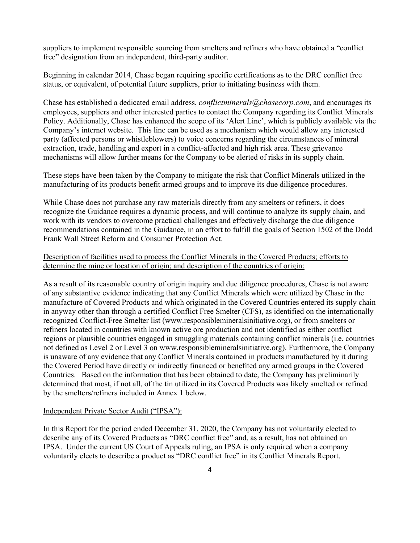suppliers to implement responsible sourcing from smelters and refiners who have obtained a "conflict free" designation from an independent, third-party auditor.

Beginning in calendar 2014, Chase began requiring specific certifications as to the DRC conflict free status, or equivalent, of potential future suppliers, prior to initiating business with them.

Chase has established a dedicated email address, *conflictminerals@chasecorp.com*, and encourages its employees, suppliers and other interested parties to contact the Company regarding its Conflict Minerals Policy. Additionally, Chase has enhanced the scope of its 'Alert Line', which is publicly available via the Company's internet website. This line can be used as a mechanism which would allow any interested party (affected persons or whistleblowers) to voice concerns regarding the circumstances of mineral extraction, trade, handling and export in a conflict-affected and high risk area. These grievance mechanisms will allow further means for the Company to be alerted of risks in its supply chain.

These steps have been taken by the Company to mitigate the risk that Conflict Minerals utilized in the manufacturing of its products benefit armed groups and to improve its due diligence procedures.

While Chase does not purchase any raw materials directly from any smelters or refiners, it does recognize the Guidance requires a dynamic process, and will continue to analyze its supply chain, and work with its vendors to overcome practical challenges and effectively discharge the due diligence recommendations contained in the Guidance, in an effort to fulfill the goals of Section 1502 of the Dodd Frank Wall Street Reform and Consumer Protection Act.

# Description of facilities used to process the Conflict Minerals in the Covered Products; efforts to determine the mine or location of origin; and description of the countries of origin:

As a result of its reasonable country of origin inquiry and due diligence procedures, Chase is not aware of any substantive evidence indicating that any Conflict Minerals which were utilized by Chase in the manufacture of Covered Products and which originated in the Covered Countries entered its supply chain in anyway other than through a certified Conflict Free Smelter (CFS), as identified on the internationally recognized Conflict-Free Smelter list (www.responsiblemineralsinitiative.org), or from smelters or refiners located in countries with known active ore production and not identified as either conflict regions or plausible countries engaged in smuggling materials containing conflict minerals (i.e. countries not defined as Level 2 or Level 3 on www.responsiblemineralsinitiative.org). Furthermore, the Company is unaware of any evidence that any Conflict Minerals contained in products manufactured by it during the Covered Period have directly or indirectly financed or benefited any armed groups in the Covered Countries. Based on the information that has been obtained to date, the Company has preliminarily determined that most, if not all, of the tin utilized in its Covered Products was likely smelted or refined by the smelters/refiners included in Annex 1 below.

### Independent Private Sector Audit ("IPSA"):

In this Report for the period ended December 31, 2020, the Company has not voluntarily elected to describe any of its Covered Products as "DRC conflict free" and, as a result, has not obtained an IPSA. Under the current US Court of Appeals ruling, an IPSA is only required when a company voluntarily elects to describe a product as "DRC conflict free" in its Conflict Minerals Report.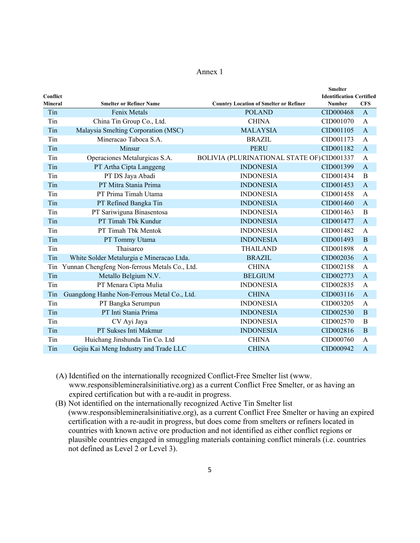### Annex 1

|                |                                               | <b>Smelter</b>                                                 |                |
|----------------|-----------------------------------------------|----------------------------------------------------------------|----------------|
| Conflict       |                                               | <b>Identification Certified</b>                                |                |
| <b>Mineral</b> | <b>Smelter or Refiner Name</b>                | <b>Country Location of Smelter or Refiner</b><br><b>Number</b> | <b>CFS</b>     |
| Tin            | Fenix Metals                                  | <b>POLAND</b><br>CID000468                                     | $\mathbf{A}$   |
| Tin            | China Tin Group Co., Ltd.                     | <b>CHINA</b><br>CID001070                                      | A              |
| Tin            | Malaysia Smelting Corporation (MSC)           | <b>MALAYSIA</b><br>CID001105                                   | $\mathbf{A}$   |
| Tin            | Mineracao Taboca S.A.                         | <b>BRAZIL</b><br>CID001173                                     | A              |
| Tin            | Minsur                                        | <b>PERU</b><br>CID001182                                       | $\mathbf{A}$   |
| Tin            | Operaciones Metalurgicas S.A.                 | BOLIVIA (PLURINATIONAL STATE OF) CID001337                     | A              |
| Tin            | PT Artha Cipta Langgeng                       | <b>INDONESIA</b><br>CID001399                                  | $\overline{A}$ |
| Tin            | PT DS Jaya Abadi                              | <b>INDONESIA</b><br>CID001434                                  | B              |
| Tin            | PT Mitra Stania Prima                         | <b>INDONESIA</b><br>CID001453                                  | $\overline{A}$ |
| Tin            | PT Prima Timah Utama                          | <b>INDONESIA</b><br>CID001458                                  | A              |
| Tin            | PT Refined Bangka Tin                         | <b>INDONESIA</b><br>CID001460                                  | $\mathbf{A}$   |
| Tin            | PT Sariwiguna Binasentosa                     | <b>INDONESIA</b><br>CID001463                                  | $\mathbf B$    |
| Tin            | PT Timah Tbk Kundur                           | <b>INDONESIA</b><br>CID001477                                  | $\mathbf{A}$   |
| Tin            | PT Timah Tbk Mentok                           | <b>INDONESIA</b><br>CID001482                                  | A              |
| Tin            | PT Tommy Utama                                | <b>INDONESIA</b><br>CID001493                                  | B              |
| Tin            | Thaisarco                                     | <b>THAILAND</b><br>CID001898                                   | A              |
| Tin            | White Solder Metalurgia e Mineracao Ltda.     | CID002036<br><b>BRAZIL</b>                                     | $\mathbf{A}$   |
| Tin            | Yunnan Chengfeng Non-ferrous Metals Co., Ltd. | CID002158<br><b>CHINA</b>                                      | A              |
| Tin            | Metallo Belgium N.V.                          | <b>BELGIUM</b><br>CID002773                                    | $\overline{A}$ |
| Tin            | PT Menara Cipta Mulia                         | <b>INDONESIA</b><br>CID002835                                  | A              |
| Tin            | Guangdong Hanhe Non-Ferrous Metal Co., Ltd.   | <b>CHINA</b><br>CID003116                                      | $\mathbf{A}$   |
| Tin            | PT Bangka Serumpun                            | <b>INDONESIA</b><br>CID003205                                  | A              |
| Tin            | PT Inti Stania Prima                          | <b>INDONESIA</b><br>CID002530                                  | $\bf{B}$       |
| Tin            | CV Ayi Jaya                                   | <b>INDONESIA</b><br>CID002570                                  | $\, {\bf B}$   |
| Tin            | PT Sukses Inti Makmur                         | <b>INDONESIA</b><br>CID002816                                  | $\mathbf B$    |
| Tin            | Huichang Jinshunda Tin Co. Ltd                | <b>CHINA</b><br>CID000760                                      | A              |
| Tin            | Gejiu Kai Meng Industry and Trade LLC         | <b>CHINA</b><br>CID000942                                      | $\mathbf{A}$   |

(A) Identified on the internationally recognized Conflict-Free Smelter list (www. www.responsiblemineralsinitiative.org) as a current Conflict Free Smelter, or as having an expired certification but with a re-audit in progress.

(B) Not identified on the internationally recognized Active Tin Smelter list (www.responsiblemineralsinitiative.org), as a current Conflict Free Smelter or having an expired certification with a re-audit in progress, but does come from smelters or refiners located in countries with known active ore production and not identified as either conflict regions or plausible countries engaged in smuggling materials containing conflict minerals (i.e. countries not defined as Level 2 or Level 3).